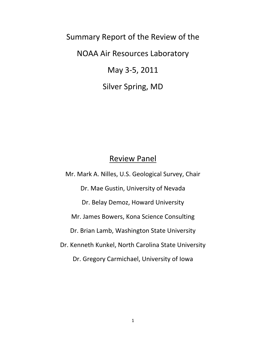Summary Report of the Review of the NOAA Air Resources Laboratory May 3-5, 2011

Silver Spring, MD

# Review Panel

Mr. Mark A. Nilles, U.S. Geological Survey, Chair Dr. Mae Gustin, University of Nevada Dr. Belay Demoz, Howard University Mr. James Bowers, Kona Science Consulting Dr. Brian Lamb, Washington State University Dr. Kenneth Kunkel, North Carolina State University Dr. Gregory Carmichael, University of Iowa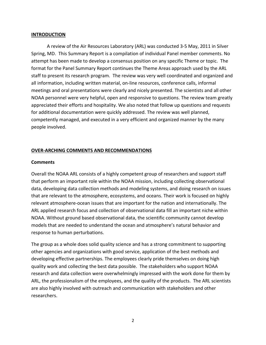#### **INTRODUCTION**

A review of the Air Resources Laboratory (ARL) was conducted 3-5 May, 2011 in Silver Spring, MD. This Summary Report is a compilation of individual Panel member comments. No attempt has been made to develop a consensus position on any specific Theme or topic. The format for the Panel Summary Report continues the Theme Areas approach used by the ARL staff to present its research program. The review was very well coordinated and organized and all information, including written material, on-line resources, conference calls, informal meetings and oral presentations were clearly and nicely presented. The scientists and all other NOAA personnel were very helpful, open and responsive to questions. The review team greatly appreciated their efforts and hospitality. We also noted that follow up questions and requests for additional documentation were quickly addressed. The review was well planned, competently managed, and executed in a very efficient and organized manner by the many people involved.

#### **OVER-ARCHING COMMENTS AND RECOMMENDATIONS**

#### **Comments**

Overall the NOAA ARL consists of a highly competent group of researchers and support staff that perform an important role within the NOAA mission, including collecting observational data, developing data collection methods and modeling systems, and doing research on issues that are relevant to the atmosphere, ecosystems, and oceans. Their work is focused on highly relevant atmosphere-ocean issues that are important for the nation and internationally. The ARL applied research focus and collection of observational data fill an important niche within NOAA. Without ground based observational data, the scientific community cannot develop models that are needed to understand the ocean and atmosphere's natural behavior and response to human perturbations.

The group as a whole does solid quality science and has a strong commitment to supporting other agencies and organizations with good service, application of the best methods and developing effective partnerships. The employees clearly pride themselves on doing high quality work and collecting the best data possible. The stakeholders who support NOAA research and data collection were overwhelmingly impressed with the work done for them by ARL, the professionalism of the employees, and the quality of the products. The ARL scientists are also highly involved with outreach and communication with stakeholders and other researchers.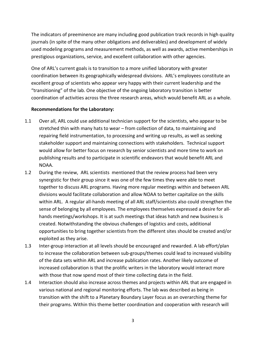The indicators of preeminence are many including good publication track records in high quality journals (in spite of the many other obligations and deliverables) and development of widely used modeling programs and measurement methods, as well as awards, active memberships in prestigious organizations, service, and excellent collaboration with other agencies.

One of ARL's current goals is to transition to a more unified laboratory with greater coordination between its geographically widespread divisions. ARL's employees constitute an excellent group of scientists who appear very happy with their current leadership and the "transitioning" of the lab. One objective of the ongoing laboratory transition is better coordination of activities across the three research areas, which would benefit ARL as a whole.

#### **Recommendations for the Laboratory:**

- 1.1 Over all, ARL could use additional technician support for the scientists, who appear to be stretched thin with many hats to wear – from collection of data, to maintaining and repairing field instrumentation, to processing and writing up results, as well as seeking stakeholder support and maintaining connections with stakeholders. Technical support would allow for better focus on research by senior scientists and more time to work on publishing results and to participate in scientific endeavors that would benefit ARL and NOAA.
- 1.2 During the review, ARL scientists mentioned that the review process had been very synergistic for their group since it was one of the few times they were able to meet together to discuss ARL programs. Having more regular meetings within and between ARL divisions would facilitate collaboration and allow NOAA to better capitalize on the skills within ARL. A regular all-hands meeting of all ARL staff/scientists also could strengthen the sense of belonging by all employees. The employees themselves expressed a desire for allhands meetings/workshops. It is at such meetings that ideas hatch and new business is created. Notwithstanding the obvious challenges of logistics and costs, additional opportunities to bring together scientists from the different sites should be created and/or exploited as they arise.
- 1.3 Inter-group interaction at all levels should be encouraged and rewarded. A lab effort/plan to increase the collaboration between sub-groups/themes could lead to increased visibility of the data sets within ARL and increase publication rates. Another likely outcome of increased collaboration is that the prolific writers in the laboratory would interact more with those that now spend most of their time collecting data in the field.
- 1.4 Interaction should also increase across themes and projects within ARL that are engaged in various national and regional monitoring efforts. The lab was described as being in transition with the shift to a Planetary Boundary Layer focus as an overarching theme for their programs. Within this theme better coordination and cooperation with research will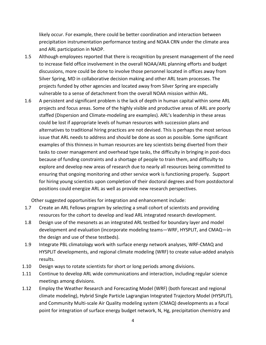likely occur. For example, there could be better coordination and interaction between precipitation instrumentation performance testing and NOAA CRN under the climate area and ARL participation in NADP.

- 1.5 Although employees reported that there is recognition by present management of the need to increase field office involvement in the overall NOAA/ARL planning efforts and budget discussions, more could be done to involve those personnel located in offices away from Silver Spring, MD in collaborative decision making and other ARL team processes. The projects funded by other agencies and located away from Silver Spring are especially vulnerable to a sense of detachment from the overall NOAA mission within ARL.
- 1.6 A persistent and significant problem is the lack of depth in human capital within some ARL projects and focus areas. Some of the highly visible and productive areas of ARL are poorly staffed (Dispersion and Climate-modeling are examples). ARL's leadership in these areas could be lost if appropriate levels of human resources with succession plans and alternatives to traditional hiring practices are not devised. This is perhaps the most serious issue that ARL needs to address and should be done as soon as possible. Some significant examples of this thinness in human resources are key scientists being diverted from their tasks to cover management and overhead type tasks, the difficulty in bringing in post-docs because of funding constraints and a shortage of people to train them, and difficulty to explore and develop new areas of research due to nearly all resources being committed to ensuring that ongoing monitoring and other service work is functioning properly. Support for hiring young scientists upon completion of their doctoral degrees and from postdoctoral positions could energize ARL as well as provide new research perspectives.

Other suggested opportunities for integration and enhancement include:

- 1.7 Create an ARL Fellows program by selecting a small cohort of scientists and providing resources for the cohort to develop and lead ARL integrated research development.
- 1.8 Design use of the mesonets as an integrated ARL testbed for boundary layer and model development and evaluation (incorporate modeling teams—WRF, HYSPLIT, and CMAQ—in the design and use of these testbeds).
- 1.9 Integrate PBL climatology work with surface energy network analyses, WRF-CMAQ and HYSPLIT developments, and regional climate modeling (WRF) to create value-added analysis results.
- 1.10 Design ways to rotate scientists for short or long periods among divisions.
- 1.11 Continue to develop ARL wide communications and interaction, including regular science meetings among divisions.
- 1.12 Employ the Weather Research and Forecasting Model (WRF) (both forecast and regional climate modeling), Hybrid Single Particle Lagrangian Integrated Trajectory Model (HYSPLIT), and Community Multi-scale Air Quality modeling system (CMAQ) developments as a focal point for integration of surface energy budget network, N, Hg, precipitation chemistry and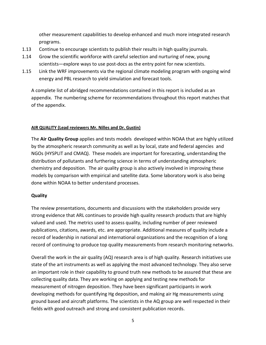other measurement capabilities to develop enhanced and much more integrated research programs.

- 1.13 Continue to encourage scientists to publish their results in high quality journals.
- 1.14 Grow the scientific workforce with careful selection and nurturing of new, young scientists—explore ways to use post-docs as the entry point for new scientists.
- 1.15 Link the WRF improvements via the regional climate modeling program with ongoing wind energy and PBL research to yield simulation and forecast tools.

A complete list of abridged recommendations contained in this report is included as an appendix. The numbering scheme for recommendations throughout this report matches that of the appendix.

#### **AIR QUALITY (Lead reviewers Mr. Nilles and Dr. Gustin)**

The **Air Quality Group** applies and tests models developed within NOAA that are highly utilized by the atmospheric research community as well as by local, state and federal agencies and NGOs (HYSPLIT and CMAQ). These models are important for forecasting, understanding the distribution of pollutants and furthering science in terms of understanding atmospheric chemistry and deposition. The air quality group is also actively involved in improving these models by comparison with empirical and satellite data. Some laboratory work is also being done within NOAA to better understand processes.

# **Quality**

The review presentations, documents and discussions with the stakeholders provide very strong evidence that ARL continues to provide high quality research products that are highly valued and used. The metrics used to assess quality, including number of peer reviewed publications, citations, awards, etc. are appropriate. Additional measures of quality include a record of leadership in national and international organizations and the recognition of a long record of continuing to produce top quality measurements from research monitoring networks.

Overall the work in the air quality (AQ) research area is of high quality. Research initiatives use state of the art instruments as well as applying the most advanced technology. They also serve an important role in their capability to ground truth new methods to be assured that these are collecting quality data. They are working on applying and testing new methods for measurement of nitrogen deposition. They have been significant participants in work developing methods for quantifying Hg deposition, and making air Hg measurements using ground based and aircraft platforms. The scientists in the AQ group are well respected in their fields with good outreach and strong and consistent publication records.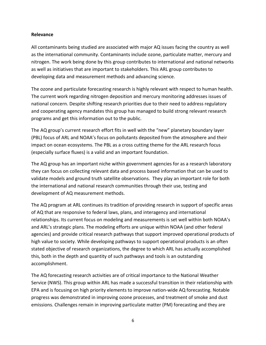#### **Relevance**

All contaminants being studied are associated with major AQ issues facing the country as well as the international community. Contaminants include ozone, particulate matter, mercury and nitrogen. The work being done by this group contributes to international and national networks as well as initiatives that are important to stakeholders. This ARL group contributes to developing data and measurement methods and advancing science.

The ozone and particulate forecasting research is highly relevant with respect to human health. The current work regarding nitrogen deposition and mercury monitoring addresses issues of national concern. Despite shifting research priorities due to their need to address regulatory and cooperating agency mandates this group has managed to build strong relevant research programs and get this information out to the public.

The AQ group's current research effort fits in well with the "new" planetary boundary layer (PBL) focus of ARL and NOAA's focus on pollutants deposited from the atmosphere and their impact on ocean ecosystems. The PBL as a cross cutting theme for the ARL research focus (especially surface fluxes) is a valid and an important foundation.

The AQ group has an important niche within government agencies for as a research laboratory they can focus on collecting relevant data and process based information that can be used to validate models and ground truth satellite observations. They play an important role for both the international and national research communities through their use, testing and development of AQ measurement methods.

The AQ program at ARL continues its tradition of providing research in support of specific areas of AQ that are responsive to federal laws, plans, and interagency and international relationships. Its current focus on modeling and measurements is set well within both NOAA's and ARL's strategic plans. The modeling efforts are unique within NOAA (and other federal agencies) and provide critical research pathways that support improved operational products of high value to society. While developing pathways to support operational products is an often stated objective of research organizations, the degree to which ARL has actually accomplished this, both in the depth and quantity of such pathways and tools is an outstanding accomplishment.

The AQ forecasting research activities are of critical importance to the National Weather Service (NWS). This group within ARL has made a successful transition in their relationship with EPA and is focusing on high priority elements to improve nation-wide AQ forecasting. Notable progress was demonstrated in improving ozone processes, and treatment of smoke and dust emissions. Challenges remain in improving particulate matter (PM) forecasting and they are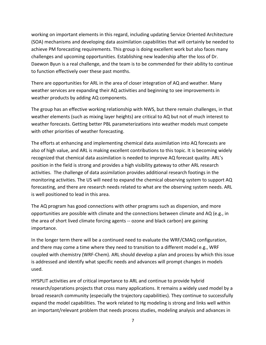working on important elements in this regard, including updating Service Oriented Architecture (SOA) mechanisms and developing data assimilation capabilities that will certainly be needed to achieve PM forecasting requirements. This group is doing excellent work but also faces many challenges and upcoming opportunities. Establishing new leadership after the loss of Dr. Daewon Byun is a real challenge, and the team is to be commended for their ability to continue to function effectively over these past months.

There are opportunities for ARL in the area of closer integration of AQ and weather. Many weather services are expanding their AQ activities and beginning to see improvements in weather products by adding AQ components.

The group has an effective working relationship with NWS, but there remain challenges, in that weather elements (such as mixing layer heights) are critical to AQ but not of much interest to weather forecasts. Getting better PBL parameterizations into weather models must compete with other priorities of weather forecasting.

The efforts at enhancing and implementing chemical data assimilation into AQ forecasts are also of high value, and ARL is making excellent contributions to this topic. It is becoming widely recognized that chemical data assimilation is needed to improve AQ forecast quality. ARL's position in the field is strong and provides a high visibility gateway to other ARL research activities. The challenge of data assimilation provides additional research footings in the monitoring activities. The US will need to expand the chemical observing system to support AQ forecasting, and there are research needs related to what are the observing system needs. ARL is well positioned to lead in this area.

The AQ program has good connections with other programs such as dispersion, and more opportunities are possible with climate and the connections between climate and AQ (e.g., in the area of short lived climate forcing agents -- ozone and black carbon) are gaining importance.

In the longer term there will be a continued need to evaluate the WRF/CMAQ configuration, and there may come a time where they need to transition to a different model e.g., WRF coupled with chemistry (WRF-Chem). ARL should develop a plan and process by which this issue is addressed and identify what specific needs and advances will prompt changes in models used.

HYSPLIT activities are of critical importance to ARL and continue to provide hybrid research/operations projects that cross many applications. It remains a widely used model by a broad research community (especially the trajectory capabilities). They continue to successfully expand the model capabilities. The work related to Hg modeling is strong and links well within an important/relevant problem that needs process studies, modeling analysis and advances in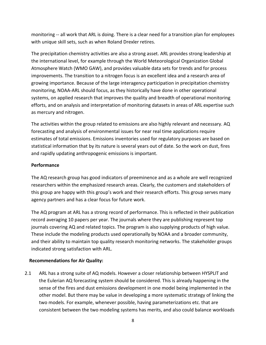monitoring -- all work that ARL is doing. There is a clear need for a transition plan for employees with unique skill sets, such as when Roland Drexler retires.

The precipitation chemistry activities are also a strong asset. ARL provides strong leadership at the international level, for example through the World Meteorological Organization Global Atmosphere Watch (WMO GAW), and provides valuable data sets for trends and for process improvements. The transition to a nitrogen focus is an excellent idea and a research area of growing importance. Because of the large interagency participation in precipitation chemistry monitoring, NOAA-ARL should focus, as they historically have done in other operational systems, on applied research that improves the quality and breadth of operational monitoring efforts, and on analysis and interpretation of monitoring datasets in areas of ARL expertise such as mercury and nitrogen.

The activities within the group related to emissions are also highly relevant and necessary. AQ forecasting and analysis of environmental issues for near real time applications require estimates of total emissions. Emissions inventories used for regulatory purposes are based on statistical information that by its nature is several years out of date. So the work on dust, fires and rapidly updating anthropogenic emissions is important.

# **Performance**

The AQ research group has good indicators of preeminence and as a whole are well recognized researchers within the emphasized research areas. Clearly, the customers and stakeholders of this group are happy with this group's work and their research efforts. This group serves many agency partners and has a clear focus for future work.

The AQ program at ARL has a strong record of performance. This is reflected in their publication record averaging 10 papers per year. The journals where they are publishing represent top journals covering AQ and related topics. The program is also supplying products of high value. These include the modeling products used operationally by NOAA and a broader community, and their ability to maintain top quality research monitoring networks. The stakeholder groups indicated strong satisfaction with ARL.

# **Recommendations for Air Quality:**

2.1 ARL has a strong suite of AQ models. However a closer relationship between HYSPLIT and the Eulerian AQ forecasting system should be considered. This is already happening in the sense of the fires and dust emissions development in one model being implemented in the other model. But there may be value in developing a more systematic strategy of linking the two models. For example, whenever possible, having parameterizations etc. that are consistent between the two modeling systems has merits, and also could balance workloads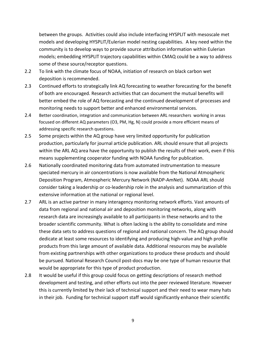between the groups. Activities could also include interfacing HYSPLIT with mesoscale met models and developing HYSPLIT/Eulerian model nesting capabilities. A key need within the community is to develop ways to provide source attribution information within Eulerian models; embedding HYSPLIT trajectory capabilities within CMAQ could be a way to address some of these source/receptor questions.

- 2.2 To link with the climate focus of NOAA, initiation of research on black carbon wet deposition is recommended.
- 2.3 Continued efforts to strategically link AQ forecasting to weather forecasting for the benefit of both are encouraged. Research activities that can document the mutual benefits will better embed the role of AQ forecasting and the continued development of processes and monitoring needs to support better and enhanced environmental services.
- 2.4 Better coordination, integration and communication between ARL researchers working in areas focused on different AQ parameters (O3, PM, Hg, N) could provide a more efficient means of addressing specific research questions.
- 2.5 Some projects within the AQ group have very limited opportunity for publication production, particularly for journal article publication. ARL should ensure that all projects within the ARL AQ area have the opportunity to publish the results of their work, even if this means supplementing cooperator funding with NOAA funding for publication.
- 2.6 Nationally coordinated monitoring data from automated instrumentation to measure speciated mercury in air concentrations is now available from the National Atmospheric Deposition Program, Atmospheric Mercury Network (NADP-AmNet). NOAA ARL should consider taking a leadership or co-leadership role in the analysis and summarization of this extensive information at the national or regional level.
- 2.7 ARL is an active partner in many interagency monitoring network efforts. Vast amounts of data from regional and national air and deposition monitoring networks, along with research data are increasingly available to all participants in these networks and to the broader scientific community. What is often lacking is the ability to consolidate and mine these data sets to address questions of regional and national concern. The AQ group should dedicate at least some resources to identifying and producing high-value and high profile products from this large amount of available data. Additional resources may be available from existing partnerships with other organizations to produce these products and should be pursued. National Research Council post-docs may be one type of human resource that would be appropriate for this type of product production.
- 2.8 It would be useful if this group could focus on getting descriptions of research method development and testing, and other efforts out into the peer reviewed literature. However this is currently limited by their lack of technical support and their need to wear many hats in their job. Funding for technical support staff would significantly enhance their scientific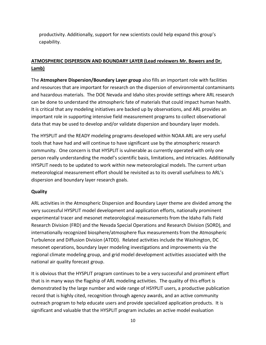productivity. Additionally, support for new scientists could help expand this group's capability.

# **ATMOSPHERIC DISPERSION AND BOUNDARY LAYER (Lead reviewers Mr. Bowers and Dr. Lamb)**

The **Atmosphere Dispersion/Boundary Layer group** also fills an important role with facilities and resources that are important for research on the dispersion of environmental contaminants and hazardous materials. The DOE Nevada and Idaho sites provide settings where ARL research can be done to understand the atmospheric fate of materials that could impact human health. It is critical that any modeling initiatives are backed up by observations, and ARL provides an important role in supporting intensive field measurement programs to collect observational data that may be used to develop and/or validate dispersion and boundary layer models.

The HYSPLIT and the READY modeling programs developed within NOAA ARL are very useful tools that have had and will continue to have significant use by the atmospheric research community. One concern is that HYSPLIT is vulnerable as currently operated with only one person really understanding the model's scientific basis, limitations, and intricacies. Additionally HYSPLIT needs to be updated to work within new meteorological models. The current urban meteorological measurement effort should be revisited as to its overall usefulness to ARL's dispersion and boundary layer research goals.

# **Quality**

ARL activities in the Atmospheric Dispersion and Boundary Layer theme are divided among the very successful HYSPLIT model development and application efforts, nationally prominent experimental tracer and mesonet meteorological measurements from the Idaho Falls Field Research Division (FRD) and the Nevada Special Operations and Research Division (SORD), and internationally recognized biosphere/atmosphere flux measurements from the Atmospheric Turbulence and Diffusion Division (ATDD). Related activities include the Washington, DC mesonet operations, boundary layer modeling investigations and improvements via the regional climate modeling group, and grid model development activities associated with the national air quality forecast group.

It is obvious that the HYSPLIT program continues to be a very successful and prominent effort that is in many ways the flagship of ARL modeling activities. The quality of this effort is demonstrated by the large number and wide range of HSYPLIT users, a productive publication record that is highly cited, recognition through agency awards, and an active community outreach program to help educate users and provide specialized application products. It is significant and valuable that the HYSPLIT program includes an active model evaluation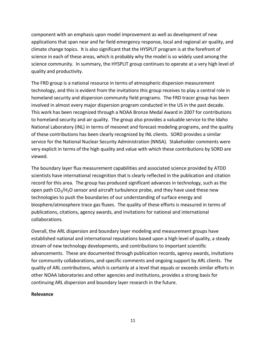component with an emphasis upon model improvement as well as development of new applications that span near and far field emergency response, local and regional air quality, and climate change topics. It is also significant that the HYSPLIT program is at the forefront of science in each of these areas, which is probably why the model is so widely used among the science community. In summary, the HYSPLIT group continues to operate at a very high level of quality and productivity.

The FRD group is a national resource in terms of atmospheric dispersion measurement technology, and this is evident from the invitations this group receives to play a central role in homeland security and dispersion community field programs. The FRD tracer group has been involved in almost every major dispersion program conducted in the US in the past decade. This work has been recognized through a NOAA Bronze Medal Award in 2007 for contributions to homeland security and air quality. The group also provides a valuable service to the Idaho National Laboratory (INL) in terms of mesonet and forecast modeling programs, and the quality of these contributions has been clearly recognized by INL clients. SORD provides a similar service for the National Nuclear Security Administration (NNSA). Stakeholder comments were very explicit in terms of the high quality and value with which these contributions by SORD are viewed.

The boundary layer flux measurement capabilities and associated science provided by ATDD scientists have international recognition that is clearly reflected in the publication and citation record for this area. The group has produced significant advances in technology, such as the open path  $CO<sub>2</sub>/H<sub>2</sub>O$  sensor and aircraft turbulence probe, and they have used these new technologies to push the boundaries of our understanding of surface energy and biosphere/atmosphere trace gas fluxes. The quality of these efforts is measured in terms of publications, citations, agency awards, and invitations for national and international collaborations.

Overall, the ARL dispersion and boundary layer modeling and measurement groups have established national and international reputations based upon a high level of quality, a steady stream of new technology developments, and contributions to important scientific advancements. These are documented through publication records, agency awards, invitations for community collaborations, and specific comments and ongoing support by ARL clients. The quality of ARL contributions, which is certainly at a level that equals or exceeds similar efforts in other NOAA laboratories and other agencies and institutions, provides a strong basis for continuing ARL dispersion and boundary layer research in the future.

#### **Relevance**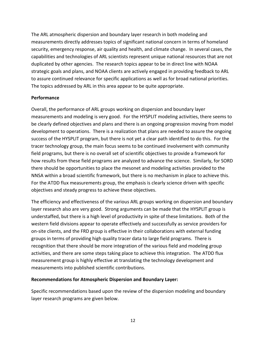The ARL atmospheric dispersion and boundary layer research in both modeling and measurements directly addresses topics of significant national concern in terms of homeland security, emergency response, air quality and health, and climate change. In several cases, the capabilities and technologies of ARL scientists represent unique national resources that are not duplicated by other agencies. The research topics appear to be in direct line with NOAA strategic goals and plans, and NOAA clients are actively engaged in providing feedback to ARL to assure continued relevance for specific applications as well as for broad national priorities. The topics addressed by ARL in this area appear to be quite appropriate.

#### **Performance**

Overall, the performance of ARL groups working on dispersion and boundary layer measurements and modeling is very good. For the HYSPLIT modeling activities, there seems to be clearly defined objectives and plans and there is an ongoing progression moving from model development to operations. There is a realization that plans are needed to assure the ongoing success of the HYSPLIT program, but there is not yet a clear path identified to do this. For the tracer technology group, the main focus seems to be continued involvement with community field programs, but there is no overall set of scientific objectives to provide a framework for how results from these field programs are analyzed to advance the science. Similarly, for SORD there should be opportunities to place the mesonet and modeling activities provided to the NNSA within a broad scientific framework, but there is no mechanism in place to achieve this. For the ATDD flux measurements group, the emphasis is clearly science driven with specific objectives and steady progress to achieve these objectives.

The efficiency and effectiveness of the various ARL groups working on dispersion and boundary layer research also are very good. Strong arguments can be made that the HYSPLIT group is understaffed, but there is a high level of productivity in spite of these limitations. Both of the western field divisions appear to operate effectively and successfully as service providers for on-site clients, and the FRD group is effective in their collaborations with external funding groups in terms of providing high quality tracer data to large field programs. There is recognition that there should be more integration of the various field and modeling group activities, and there are some steps taking place to achieve this integration. The ATDD flux measurement group is highly effective at translating the technology development and measurements into published scientific contributions.

#### **Recommendations for Atmospheric Dispersion and Boundary Layer:**

Specific recommendations based upon the review of the dispersion modeling and boundary layer research programs are given below.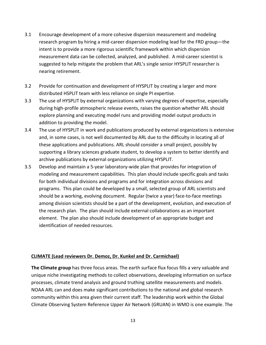- 3.1 Encourage development of a more cohesive dispersion measurement and modeling research program by hiring a mid-career dispersion modeling lead for the FRD group—the intent is to provide a more rigorous scientific framework within which dispersion measurement data can be collected, analyzed, and published. A mid-career scientist is suggested to help mitigate the problem that ARL's single senior HYSPLIT researcher is nearing retirement.
- 3.2 Provide for continuation and development of HYSPLIT by creating a larger and more distributed HSPLIT team with less reliance on single PI expertise.
- 3.3 The use of HYSPLIT by external organizations with varying degrees of expertise, especially during high-profile atmospheric release events, raises the question whether ARL should explore planning and executing model runs and providing model output products in addition to providing the model.
- 3.4 The use of HYSPLIT in work and publications produced by external organizations is extensive and, in some cases, is not well documented by ARL due to the difficulty in locating all of these applications and publications. ARL should consider a small project, possibly by supporting a library sciences graduate student, to develop a system to better identify and archive publications by external organizations utilizing HYSPLIT.
- 3.5 Develop and maintain a 5-year laboratory-wide plan that provides for integration of modeling and measurement capabilities. This plan should include specific goals and tasks for both individual divisions and programs and for integration across divisions and programs. This plan could be developed by a small, selected group of ARL scientists and should be a working, evolving document. Regular (twice a year) face-to-face meetings among division scientists should be a part of the development, evolution, and execution of the research plan. The plan should include external collaborations as an important element. The plan also should include development of an appropriate budget and identification of needed resources.

#### **CLIMATE (Lead reviewers Dr. Demoz, Dr. Kunkel and Dr. Carmichael)**

**The Climate group** has three focus areas. The earth surface flux focus fills a very valuable and unique niche investigating methods to collect observations, developing information on surface processes, climate trend analysis and ground truthing satellite measurements and models. NOAA ARL can and does make significant contributions to the national and global research community within this area given their current staff. The leadership work within the Global Climate Observing System Reference Upper Air Network (GRUAN) in WMO is one example. The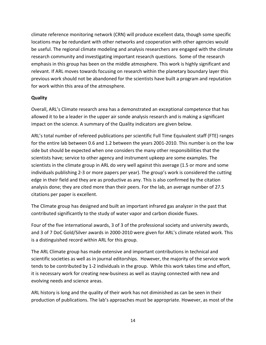climate reference monitoring network (CRN) will produce excellent data, though some specific locations may be redundant with other networks and cooperation with other agencies would be useful. The regional climate modeling and analysis researchers are engaged with the climate research community and investigating important research questions. Some of the research emphasis in this group has been on the middle atmosphere. This work is highly significant and relevant. If ARL moves towards focusing on research within the planetary boundary layer this previous work should not be abandoned for the scientists have built a program and reputation for work within this area of the atmosphere.

#### **Quality**

Overall, ARL's Climate research area has a demonstrated an exceptional competence that has allowed it to be a leader in the upper air sonde analysis research and is making a significant impact on the science. A summary of the Quality indicators are given below.

ARL's total number of refereed publications per scientific Full Time Equivalent staff (FTE) ranges for the entire lab between 0.6 and 1.2 between the years 2001-2010. This number is on the low side but should be expected when one considers the many other responsibilities that the scientists have; service to other agency and instrument upkeep are some examples. The scientists in the climate group in ARL do very well against this average (1.5 or more and some individuals publishing 2-3 or more papers per year). The group's work is considered the cutting edge in their field and they are as productive as any. This is also confirmed by the citation analysis done; they are cited more than their peers. For the lab, an average number of 27.5 citations per paper is excellent.

The Climate group has designed and built an important infrared gas analyzer in the past that contributed significantly to the study of water vapor and carbon dioxide fluxes.

Four of the five international awards, 3 of 3 of the professional society and university awards, and 3 of 7 DoC Gold/Silver awards in 2000-2010 were given for ARL's climate related work. This is a distinguished record within ARL for this group.

The ARL Climate group has made extensive and important contributions in technical and scientific societies as well as in journal editorships. However, the majority of the service work tends to be contributed by 1-2 individuals in the group. While this work takes time and effort, it is necessary work for creating new-business as well as staying connected with new and evolving needs and science areas.

ARL history is long and the quality of their work has not diminished as can be seen in their production of publications. The lab's approaches must be appropriate. However, as most of the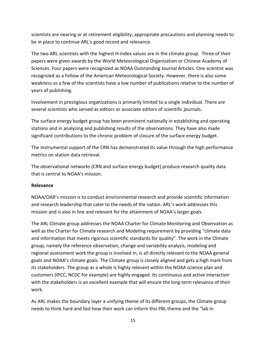scientists are nearing or at retirement eligibility; appropriate precautions and planning needs to be in place to continue ARL's good record and relevance.

The two ARL scientists with the highest H-index values are in the climate group. Three of their papers were given awards by the World Meteorological Organization or Chinese Academy of Sciences. Four papers were recognized as NOAA Outstanding Journal Articles. One scientist was recognized as a Fellow of the American Meteorological Society. However, there is also some weakness as a few of the scientists have a low number of publications relative to the number of years of publishing.

Involvement in prestigious organizations is primarily limited to a single individual. There are several scientists who served as editors or associate editors of scientific journals.

The surface energy budget group has been prominent nationally in establishing and operating stations and in analyzing and publishing results of the observations. They have also made significant contributions to the chronic problem of closure of the surface energy budget.

The instrumental support of the CRN has demonstrated its value through the high performance metrics on station data retrieval.

The observational networks (CRN and surface energy budget) produce research quality data that is central to NOAA's mission.

#### **Relevance**

NOAA/OAR's mission is to conduct environmental research and provide scientific information and research leadership that cater to the needs of the nation. ARL's work addresses this mission and is also in line and relevant for the attainment of NOAA's larger goals.

The ARL Climate group addresses the NOAA Charter for Climate Monitoring and Observation as well as the Charter for Climate research and Modeling requirement by providing "climate data and information that meets rigorous scientific standards for quality". The work in the Climate group, namely the reference observation, change and variability analysis, modeling and regional assessment work the group is involved in, is all directly relevant to the NOAA general goals and NOAA's climate goals. The Climate group is closely aligned and gets a high mark from its stakeholders. The group as a whole is highly relevant within the NOAA science plan and customers (IPCC, NCDC for example) are highly engaged. Its continuous and active interaction with the stakeholders is an excellent example that will ensure the long term relevance of their work.

As ARL makes the boundary layer a unifying theme of its different groups, the Climate group needs to think hard and fast how their work can inform this PBL theme and the "lab in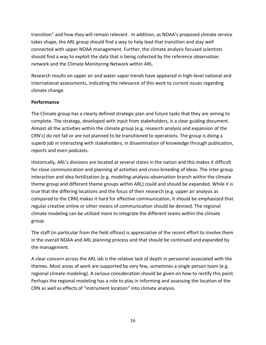transition" and how they will remain relevant. In addition, as NOAA's proposed climate service takes shape, the ARL group should find a way to help lead that transition and stay well connected with upper NOAA management. Further, the climate analysis focused scientists should find a way to exploit the data that is being collected by the reference observation network and the Climate Monitoring Network within ARL.

Research results on upper air and water vapor trends have appeared in high-level national and international assessments, indicating the relevance of this work to current issues regarding climate change.

#### **Performance**

The Climate group has a clearly defined strategic plan and future tasks that they are aiming to complete. The strategy, developed with input from stakeholders, is a clear guiding document. Almost all the activities within the climate group (e.g. research analysis and expansion of the CRN's) do not fall or are not planned to be transitioned to operations. The group is doing a superb job in interacting with stakeholders, in dissemination of knowledge through publication, reports and even podcasts.

Historically, ARL's divisions are located at several states in the nation and this makes it difficult for close communication and planning of activities and cross-breeding of ideas. The inter-group interaction and idea fertilization (e.g. modeling-analysis-observation branch within the climate theme group and different theme groups within ARL) could and should be expanded. While it is true that the differing locations and the focus of their research (e.g. upper air analysis as compared to the CRN) makes it hard for effective communication, it should be emphasized that regular creative online or other means of communication should be devised. The regional climate modeling can be utilized more to integrate the different teams within the climate group.

The staff (in particular from the field offices) is appreciative of the recent effort to involve them in the overall NOAA and ARL planning process and that should be continued and expanded by the management.

A clear concern across the ARL lab is the relative lack of depth in personnel associated with the themes. Most areas of work are supported by very few, sometimes a single person team (e.g. regional climate modeling). A serious consideration should be given on how to rectify this point. Perhaps the regional modeling has a role to play in informing and assessing the location of the CRN as well as effects of "instrument location" into climate analysis.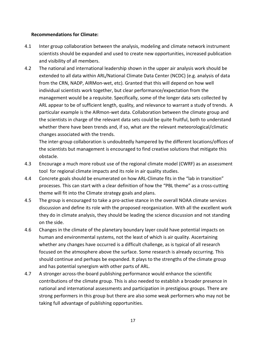#### **Recommendations for Climate:**

- 4.1 Inter group collaboration between the analysis, modeling and climate network instrument scientists should be expanded and used to create new opportunities, increased publication and visibility of all members.
- 4.2 The national and international leadership shown in the upper air analysis work should be extended to all data within ARL/National Climate Data Center (NCDC) (e.g. analysis of data from the CRN, NADP, AIRMon-wet, etc). Granted that this will depend on how well individual scientists work together, but clear performance/expectation from the management would be a requisite. Specifically, some of the longer data sets collected by ARL appear to be of sufficient length, quality, and relevance to warrant a study of trends. A particular example is the AIRmon-wet data. Collaboration between the climate group and the scientists in charge of the relevant data sets could be quite fruitful, both to understand whether there have been trends and, if so, what are the relevant meteorological/climatic changes associated with the trends.

The inter-group collaboration is undoubtedly hampered by the different locations/offices of the scientists but management is encouraged to find creative solutions that mitigate this obstacle.

- 4.3 Encourage a much more robust use of the regional climate model (CWRF) as an assessment tool for regional climate impacts and its role in air quality studies.
- 4.4 Concrete goals should be enumerated on how ARL-Climate fits in the "lab in transition" processes. This can start with a clear definition of how the "PBL theme" as a cross-cutting theme will fit into the Climate strategy goals and plans.
- 4.5 The group is encouraged to take a pro-active stance in the overall NOAA climate services discussion and define its role with the proposed reorganization. With all the excellent work they do in climate analysis, they should be leading the science discussion and not standing on the side.
- 4.6 Changes in the climate of the planetary boundary layer could have potential impacts on human and environmental systems, not the least of which is air quality. Ascertaining whether any changes have occurred is a difficult challenge, as is typical of all research focused on the atmosphere above the surface. Some research is already occurring. This should continue and perhaps be expanded. It plays to the strengths of the climate group and has potential synergism with other parts of ARL.
- 4.7 A stronger across-the-board publishing performance would enhance the scientific contributions of the climate group. This is also needed to establish a broader presence in national and international assessments and participation in prestigious groups. There are strong performers in this group but there are also some weak performers who may not be taking full advantage of publishing opportunities.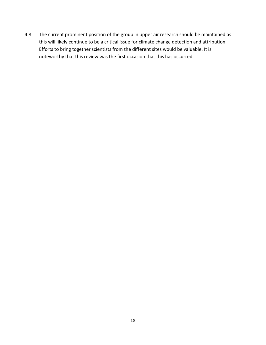4.8 The current prominent position of the group in upper air research should be maintained as this will likely continue to be a critical issue for climate change detection and attribution. Efforts to bring together scientists from the different sites would be valuable. It is noteworthy that this review was the first occasion that this has occurred.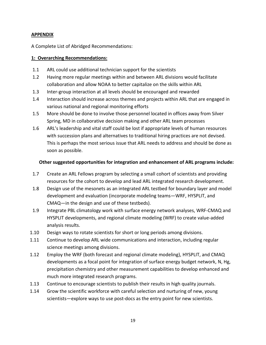# **APPENDIX**

A Complete List of Abridged Recommendations:

#### **1: Overarching Recommendations:**

- 1.1 ARL could use additional technician support for the scientists
- 1.2 Having more regular meetings within and between ARL divisions would facilitate collaboration and allow NOAA to better capitalize on the skills within ARL
- 1.3 Inter-group interaction at all levels should be encouraged and rewarded
- 1.4 Interaction should increase across themes and projects within ARL that are engaged in various national and regional monitoring efforts
- 1.5 More should be done to involve those personnel located in offices away from Silver Spring, MD in collaborative decision making and other ARL team processes
- 1.6 ARL's leadership and vital staff could be lost if appropriate levels of human resources with succession plans and alternatives to traditional hiring practices are not devised. This is perhaps the most serious issue that ARL needs to address and should be done as soon as possible.

#### **Other suggested opportunities for integration and enhancement of ARL programs include:**

- 1.7 Create an ARL Fellows program by selecting a small cohort of scientists and providing resources for the cohort to develop and lead ARL integrated research development.
- 1.8 Design use of the mesonets as an integrated ARL testbed for boundary layer and model development and evaluation (incorporate modeling teams—WRF, HYSPLIT, and CMAQ—in the design and use of these testbeds).
- 1.9 Integrate PBL climatology work with surface energy network analyses, WRF-CMAQ and HYSPLIT developments, and regional climate modeling (WRF) to create value-added analysis results.
- 1.10 Design ways to rotate scientists for short or long periods among divisions.
- 1.11 Continue to develop ARL wide communications and interaction, including regular science meetings among divisions.
- 1.12 Employ the WRF (both forecast and regional climate modeling), HYSPLIT, and CMAQ developments as a focal point for integration of surface energy budget network, N, Hg, precipitation chemistry and other measurement capabilities to develop enhanced and much more integrated research programs.
- 1.13 Continue to encourage scientists to publish their results in high quality journals.
- 1.14 Grow the scientific workforce with careful selection and nurturing of new, young scientists—explore ways to use post-docs as the entry point for new scientists.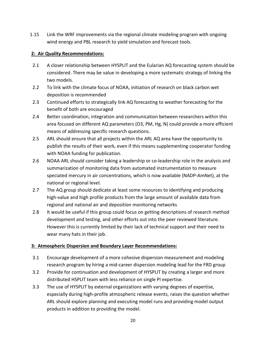1.15 Link the WRF improvements via the regional climate modeling program with ongoing wind energy and PBL research to yield simulation and forecast tools.

# **2: Air Quality Recommendations:**

- 2.1 A closer relationship between HYSPLIT and the Eularian AQ forecasting system should be considered. There may be value in developing a more systematic strategy of linking the two models.
- 2.2 To link with the climate focus of NOAA, initiation of research on black carbon wet deposition is recommended
- 2.3 Continued efforts to strategically link AQ forecasting to weather forecasting for the benefit of both are encouraged
- 2.4 Better coordination, integration and communication between researchers within this area focused on different AQ parameters (O3, PM, Hg, N) could provide a more efficient means of addressing specific research questions.
- 2.5 ARL should ensure that all projects within the ARL AQ area have the opportunity to publish the results of their work, even if this means supplementing cooperator funding with NOAA funding for publication.
- 2.6 NOAA ARL should consider taking a leadership or co-leadership role in the analysis and summarization of monitoring data from automated instrumentation to measure speciated mercury in air concentrations, which is now available (NADP-AmNet), at the national or regional level.
- 2.7 The AQ group should dedicate at least some resources to identifying and producing high-value and high profile products from the large amount of available data from regional and national air and deposition monitoring networks
- 2.8 It would be useful if this group could focus on getting descriptions of research method development and testing, and other efforts out into the peer reviewed literature. However this is currently limited by their lack of technical support and their need to wear many hats in their job.

# **3: Atmospheric Dispersion and Boundary Layer Recommendations:**

- 3.1 Encourage development of a more cohesive dispersion measurement and modeling research program by hiring a mid-career dispersion modeling lead for the FRD group
- 3.2 Provide for continuation and development of HYSPLIT by creating a larger and more distributed HSPLIT team with less reliance on single PI expertise.
- 3.3 The use of HYSPLIT by external organizations with varying degrees of expertise, especially during high-profile atmospheric release events, raises the question whether ARL should explore planning and executing model runs and providing model output products in addition to providing the model.